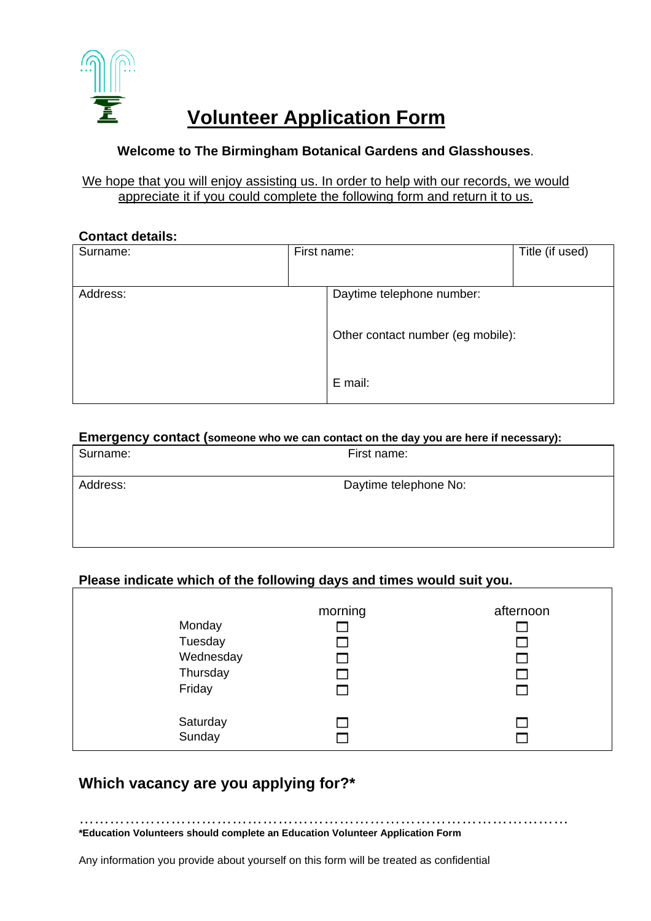

# **Volunteer Application Form**

# **Welcome to The Birmingham Botanical Gardens and Glasshouses**.

### We hope that you will enjoy assisting us. In order to help with our records, we would appreciate it if you could complete the following form and return it to us.

## **Contact details:**

| Surname: | First name: |                                   | Title (if used) |
|----------|-------------|-----------------------------------|-----------------|
| Address: |             | Daytime telephone number:         |                 |
|          |             | Other contact number (eg mobile): |                 |
|          |             | E mail:                           |                 |

### **Emergency contact (someone who we can contact on the day you are here if necessary):**

| Surname: | First name:           |
|----------|-----------------------|
| Address: | Daytime telephone No: |

### **Please indicate which of the following days and times would suit you.**

| Monday<br>Tuesday<br>Wednesday<br>Thursday<br>Friday | morning | afternoon<br>$\mathsf{L}$<br>$\Box$ |
|------------------------------------------------------|---------|-------------------------------------|
| Saturday<br>Sunday                                   |         |                                     |

# **Which vacancy are you applying for?\***

…………………………………………………………………………………… **\*Education Volunteers should complete an Education Volunteer Application Form** 

Any information you provide about yourself on this form will be treated as confidential